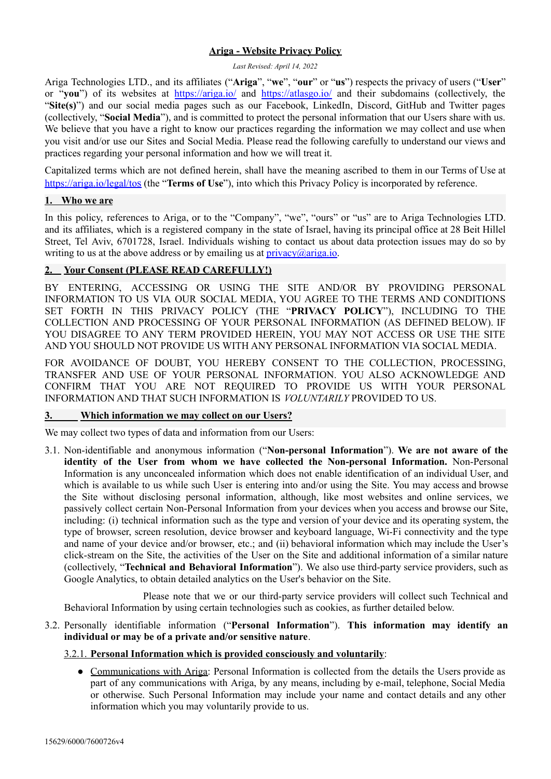## **Ariga - Website Privacy Policy**

#### *Last Revised: April 14, 2022*

Ariga Technologies LTD., and its affiliates ("**Ariga**", "**we**", "**our**" or "**us**") respects the privacy of users ("**User**" or "**you**") of its websites at <https://ariga.io/> and <https://atlasgo.io/> and their subdomains (collectively, the "Site(s)") and our social media pages such as our Facebook, LinkedIn, Discord, GitHub and Twitter pages (collectively, "**Social Media**"), and is committed to protect the personal information that our Users share with us. We believe that you have a right to know our practices regarding the information we may collect and use when you visit and/or use our Sites and Social Media. Please read the following carefully to understand our views and practices regarding your personal information and how we will treat it.

Capitalized terms which are not defined herein, shall have the meaning ascribed to them in our Terms of Use at <https://ariga.io/legal/to>s (the "**Terms of Use**"), into which this Privacy Policy is incorporated by reference.

### **1. Who we are**

In this policy, references to Ariga, or to the "Company", "we", "ours" or "us" are to Ariga Technologies LTD. and its affiliates, which is a registered company in the state of Israel, having its principal office at 28 Beit Hillel Street, Tel Aviv, 6701728, Israel. Individuals wishing to contact us about data protection issues may do so by writing to us at the above address or by emailing us at  $\text{privacy}(\partial \text{ariga.io})$ .

## **2. Your Consent (PLEASE READ CAREFULLY!)**

BY ENTERING, ACCESSING OR USING THE SITE AND/OR BY PROVIDING PERSONAL INFORMATION TO US VIA OUR SOCIAL MEDIA, YOU AGREE TO THE TERMS AND CONDITIONS SET FORTH IN THIS PRIVACY POLICY (THE "**PRIVACY POLICY**"), INCLUDING TO THE COLLECTION AND PROCESSING OF YOUR PERSONAL INFORMATION (AS DEFINED BELOW). IF YOU DISAGREE TO ANY TERM PROVIDED HEREIN, YOU MAY NOT ACCESS OR USE THE SITE AND YOU SHOULD NOT PROVIDE US WITH ANY PERSONAL INFORMATION VIA SOCIAL MEDIA.

FOR AVOIDANCE OF DOUBT, YOU HEREBY CONSENT TO THE COLLECTION, PROCESSING, TRANSFER AND USE OF YOUR PERSONAL INFORMATION. YOU ALSO ACKNOWLEDGE AND CONFIRM THAT YOU ARE NOT REQUIRED TO PROVIDE US WITH YOUR PERSONAL INFORMATION AND THAT SUCH INFORMATION IS *VOLUNTARILY* PROVIDED TO US.

#### **3. Which information we may collect on our Users?**

We may collect two types of data and information from our Users:

3.1. Non-identifiable and anonymous information ("**Non-personal Information**"). **We are not aware of the identity of the User from whom we have collected the Non-personal Information.** Non-Personal Information is any unconcealed information which does not enable identification of an individual User, and which is available to us while such User is entering into and/or using the Site. You may access and browse the Site without disclosing personal information, although, like most websites and online services, we passively collect certain Non-Personal Information from your devices when you access and browse our Site, including: (i) technical information such as the type and version of your device and its operating system, the type of browser, screen resolution, device browser and keyboard language, Wi-Fi connectivity and the type and name of your device and/or browser, etc.; and (ii) behavioral information which may include the User's click-stream on the Site, the activities of the User on the Site and additional information of a similar nature (collectively, "**Technical and Behavioral Information**"). We also use third-party service providers, such as Google Analytics, to obtain detailed analytics on the User's behavior on the Site.

Please note that we or our third-party service providers will collect such Technical and Behavioral Information by using certain technologies such as cookies, as further detailed below.

### 3.2. Personally identifiable information ("**Personal Information**"). **This information may identify an individual or may be of a private and/or sensitive nature**.

#### 3.2.1. **Personal Information which is provided consciously and voluntarily**:

• Communications with Ariga: Personal Information is collected from the details the Users provide as part of any communications with Ariga, by any means, including by e-mail, telephone, Social Media or otherwise. Such Personal Information may include your name and contact details and any other information which you may voluntarily provide to us.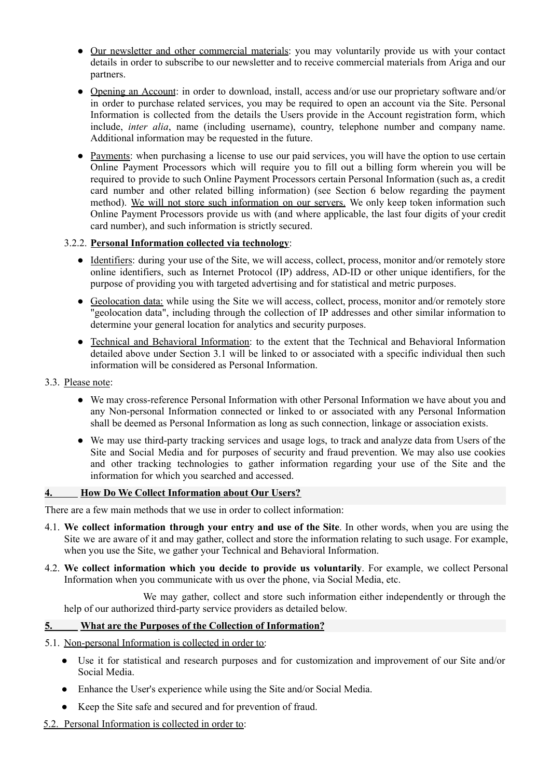- Our newsletter and other commercial materials: you may voluntarily provide us with your contact details in order to subscribe to our newsletter and to receive commercial materials from Ariga and our partners.
- Opening an Account: in order to download, install, access and/or use our proprietary software and/or in order to purchase related services, you may be required to open an account via the Site. Personal Information is collected from the details the Users provide in the Account registration form, which include, *inter alia*, name (including username), country, telephone number and company name. Additional information may be requested in the future.
- Payments: when purchasing a license to use our paid services, you will have the option to use certain Online Payment Processors which will require you to fill out a billing form wherein you will be required to provide to such Online Payment Processors certain Personal Information (such as, a credit card number and other related billing information) (see Section 6 below regarding the payment method). We will not store such information on our servers. We only keep token information such Online Payment Processors provide us with (and where applicable, the last four digits of your credit card number), and such information is strictly secured.

## 3.2.2. **Personal Information collected via technology**:

- Identifiers: during your use of the Site, we will access, collect, process, monitor and/or remotely store online identifiers, such as Internet Protocol (IP) address, AD-ID or other unique identifiers, for the purpose of providing you with targeted advertising and for statistical and metric purposes.
- Geolocation data: while using the Site we will access, collect, process, monitor and/or remotely store "geolocation data", including through the collection of IP addresses and other similar information to determine your general location for analytics and security purposes.
- Technical and Behavioral Information: to the extent that the Technical and Behavioral Information detailed above under Section 3.1 will be linked to or associated with a specific individual then such information will be considered as Personal Information.
- 3.3. Please note:
	- We may cross-reference Personal Information with other Personal Information we have about you and any Non-personal Information connected or linked to or associated with any Personal Information shall be deemed as Personal Information as long as such connection, linkage or association exists.
	- We may use third-party tracking services and usage logs, to track and analyze data from Users of the Site and Social Media and for purposes of security and fraud prevention. We may also use cookies and other tracking technologies to gather information regarding your use of the Site and the information for which you searched and accessed.

#### **4. How Do We Collect Information about Our Users?**

There are a few main methods that we use in order to collect information:

- 4.1. **We collect information through your entry and use of the Site**. In other words, when you are using the Site we are aware of it and may gather, collect and store the information relating to such usage. For example, when you use the Site, we gather your Technical and Behavioral Information.
- 4.2. **We collect information which you decide to provide us voluntarily**. For example, we collect Personal Information when you communicate with us over the phone, via Social Media, etc.

We may gather, collect and store such information either independently or through the help of our authorized third-party service providers as detailed below.

#### **5. What are the Purposes of the Collection of Information?**

- 5.1. Non-personal Information is collected in order to:
	- Use it for statistical and research purposes and for customization and improvement of our Site and/or Social Media.
	- Enhance the User's experience while using the Site and/or Social Media.
	- Keep the Site safe and secured and for prevention of fraud.
- 5.2. Personal Information is collected in order to: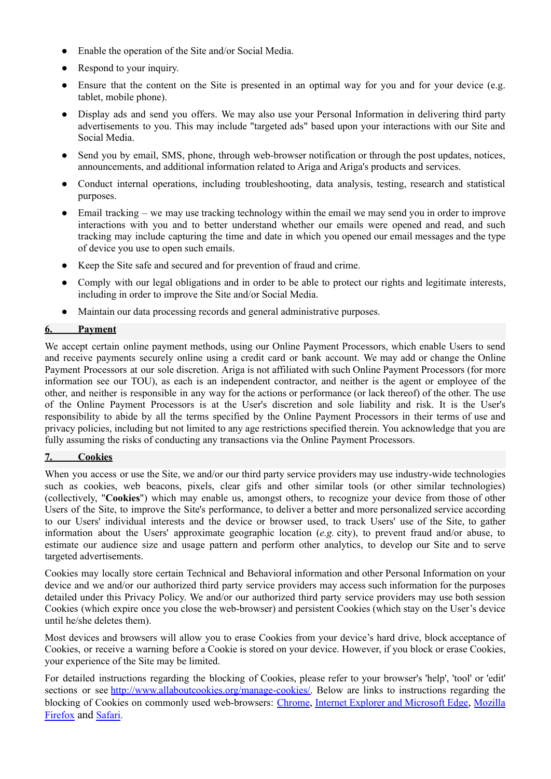- Enable the operation of the Site and/or Social Media.
- Respond to your inquiry.
- Ensure that the content on the Site is presented in an optimal way for you and for your device (e.g. tablet, mobile phone).
- Display ads and send you offers. We may also use your Personal Information in delivering third party advertisements to you. This may include "targeted ads" based upon your interactions with our Site and Social Media.
- Send you by email, SMS, phone, through web-browser notification or through the post updates, notices, announcements, and additional information related to Ariga and Ariga's products and services.
- Conduct internal operations, including troubleshooting, data analysis, testing, research and statistical purposes.
- Email tracking we may use tracking technology within the email we may send you in order to improve interactions with you and to better understand whether our emails were opened and read, and such tracking may include capturing the time and date in which you opened our email messages and the type of device you use to open such emails.
- Keep the Site safe and secured and for prevention of fraud and crime.
- Comply with our legal obligations and in order to be able to protect our rights and legitimate interests, including in order to improve the Site and/or Social Media.
- Maintain our data processing records and general administrative purposes.

## **6. Payment**

We accept certain online payment methods, using our Online Payment Processors, which enable Users to send and receive payments securely online using a credit card or bank account. We may add or change the Online Payment Processors at our sole discretion. Ariga is not affiliated with such Online Payment Processors (for more information see our TOU), as each is an independent contractor, and neither is the agent or employee of the other, and neither is responsible in any way for the actions or performance (or lack thereof) of the other. The use of the Online Payment Processors is at the User's discretion and sole liability and risk. It is the User's responsibility to abide by all the terms specified by the Online Payment Processors in their terms of use and privacy policies, including but not limited to any age restrictions specified therein. You acknowledge that you are fully assuming the risks of conducting any transactions via the Online Payment Processors.

## **7. Cookies**

When you access or use the Site, we and/or our third party service providers may use industry-wide technologies such as cookies, web beacons, pixels, clear gifs and other similar tools (or other similar technologies) (collectively, "**Cookies**") which may enable us, amongst others, to recognize your device from those of other Users of the Site, to improve the Site's performance, to deliver a better and more personalized service according to our Users' individual interests and the device or browser used, to track Users' use of the Site, to gather information about the Users' approximate geographic location (*e.g.* city), to prevent fraud and/or abuse, to estimate our audience size and usage pattern and perform other analytics, to develop our Site and to serve targeted advertisements.

Cookies may locally store certain Technical and Behavioral information and other Personal Information on your device and we and/or our authorized third party service providers may access such information for the purposes detailed under this Privacy Policy. We and/or our authorized third party service providers may use both session Cookies (which expire once you close the web-browser) and persistent Cookies (which stay on the User's device until he/she deletes them).

Most devices and browsers will allow you to erase Cookies from your device's hard drive, block acceptance of Cookies, or receive a warning before a Cookie is stored on your device. However, if you block or erase Cookies, your experience of the Site may be limited.

For detailed instructions regarding the blocking of Cookies, please refer to your browser's 'help', 'tool' or 'edit' sections or see [http://www.allaboutcookies.org/manage-cookies/.](http://www.allaboutcookies.org/manage-cookies/) Below are links to instructions regarding the blocking of Cookies on commonly used web-browsers: [Chrome](https://support.google.com/chrome/answer/95647?hl=en), Internet Explorer and [Microsoft](http://windows.microsoft.com/en-us/windows-vista/block-or-allow-cookies) Edge, [Mozilla](https://support.mozilla.org/en-US/kb/cookies-information-websites-store-on-your-computer) [Firefox](https://support.mozilla.org/en-US/kb/cookies-information-websites-store-on-your-computer) and [Safari](https://support.apple.com/kb/PH19214?locale=en_US).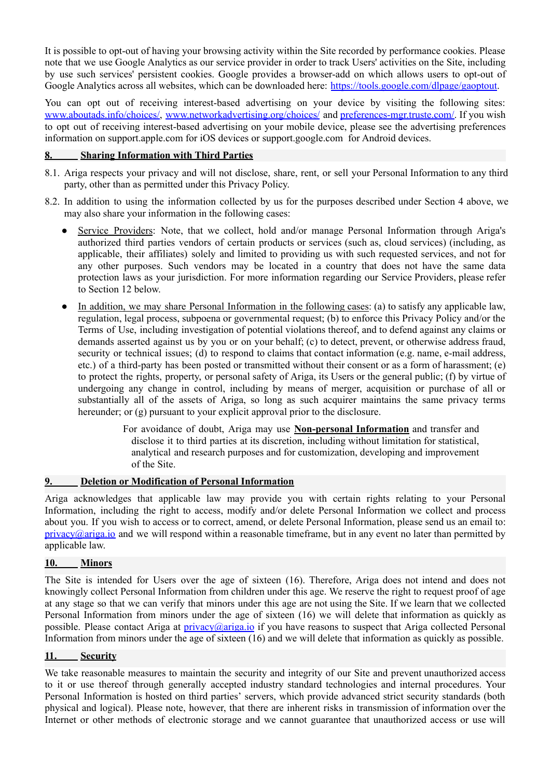It is possible to opt-out of having your browsing activity within the Site recorded by performance cookies. Please note that we use Google Analytics as our service provider in order to track Users' activities on the Site, including by use such services' persistent cookies. Google provides a browser-add on which allows users to opt-out of Google Analytics across all websites, which can be downloaded here: [https://tools.google.com/dlpage/gaoptout.](https://tools.google.com/dlpage/gaoptout)

You can opt out of receiving interest-based advertising on your device by visiting the following sites: [www.aboutads.info/choices/,](http://www.aboutads.info/choices/) [www.networkadvertising.org/choices/](http://www.networkadvertising.org/choices/) and [preferences-mgr.truste.com/.](https://preferences-mgr.truste.com/) If you wish to opt out of receiving interest-based advertising on your mobile device, please see the advertising preferences information on support.apple.com for iOS devices or support.google.com for Android devices.

### **8. Sharing Information with Third Parties**

- 8.1. Ariga respects your privacy and will not disclose, share, rent, or sell your Personal Information to any third party, other than as permitted under this Privacy Policy.
- 8.2. In addition to using the information collected by us for the purposes described under Section 4 above, we may also share your information in the following cases:
	- Service Providers: Note, that we collect, hold and/or manage Personal Information through Ariga's authorized third parties vendors of certain products or services (such as, cloud services) (including, as applicable, their affiliates) solely and limited to providing us with such requested services, and not for any other purposes. Such vendors may be located in a country that does not have the same data protection laws as your jurisdiction. For more information regarding our Service Providers, please refer to Section 12 below.
	- In addition, we may share Personal Information in the following cases: (a) to satisfy any applicable law, regulation, legal process, subpoena or governmental request; (b) to enforce this Privacy Policy and/or the Terms of Use, including investigation of potential violations thereof, and to defend against any claims or demands asserted against us by you or on your behalf; (c) to detect, prevent, or otherwise address fraud, security or technical issues; (d) to respond to claims that contact information (e.g. name, e-mail address, etc.) of a third-party has been posted or transmitted without their consent or as a form of harassment; (e) to protect the rights, property, or personal safety of Ariga, its Users or the general public; (f) by virtue of undergoing any change in control, including by means of merger, acquisition or purchase of all or substantially all of the assets of Ariga, so long as such acquirer maintains the same privacy terms hereunder; or (g) pursuant to your explicit approval prior to the disclosure.
		- For avoidance of doubt, Ariga may use **Non-personal Information** and transfer and disclose it to third parties at its discretion, including without limitation for statistical, analytical and research purposes and for customization, developing and improvement of the Site.

## **9. Deletion or Modification of Personal Information**

Ariga acknowledges that applicable law may provide you with certain rights relating to your Personal Information, including the right to access, modify and/or delete Personal Information we collect and process about you. If you wish to access or to correct, amend, or delete Personal Information, please send us an email to:  $\frac{\text{privac}}{\text{qariga.io}}$  and we will respond within a reasonable timeframe, but in any event no later than permitted by applicable law.

#### **10. Minors**

The Site is intended for Users over the age of sixteen (16). Therefore, Ariga does not intend and does not knowingly collect Personal Information from children under this age. We reserve the right to request proof of age at any stage so that we can verify that minors under this age are not using the Site. If we learn that we collected Personal Information from minors under the age of sixteen (16) we will delete that information as quickly as possible. Please contact Ariga at [privacy@ariga.io](mailto:privacy@ariga.io) if you have reasons to suspect that Ariga collected Personal Information from minors under the age of sixteen (16) and we will delete that information as quickly as possible.

#### **11. Security**

We take reasonable measures to maintain the security and integrity of our Site and prevent unauthorized access to it or use thereof through generally accepted industry standard technologies and internal procedures. Your Personal Information is hosted on third parties' servers, which provide advanced strict security standards (both physical and logical). Please note, however, that there are inherent risks in transmission of information over the Internet or other methods of electronic storage and we cannot guarantee that unauthorized access or use will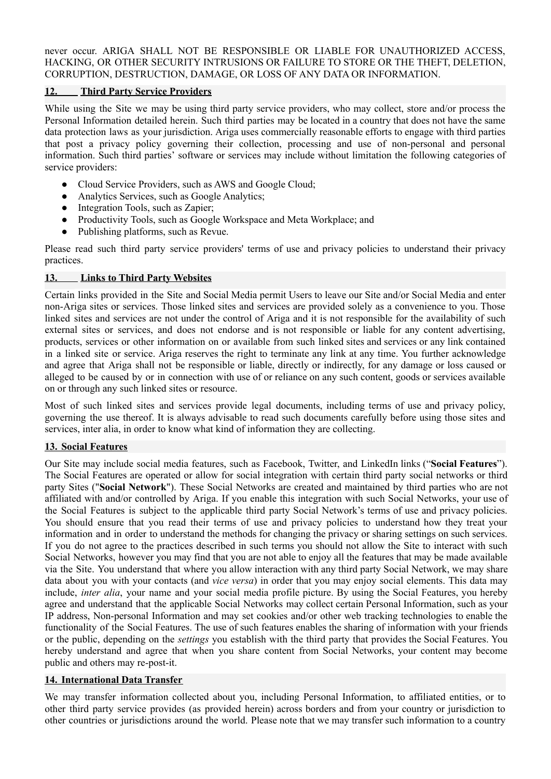never occur. ARIGA SHALL NOT BE RESPONSIBLE OR LIABLE FOR UNAUTHORIZED ACCESS, HACKING, OR OTHER SECURITY INTRUSIONS OR FAILURE TO STORE OR THE THEFT, DELETION, CORRUPTION, DESTRUCTION, DAMAGE, OR LOSS OF ANY DATA OR INFORMATION.

# **12. Third Party Service Providers**

While using the Site we may be using third party service providers, who may collect, store and/or process the Personal Information detailed herein. Such third parties may be located in a country that does not have the same data protection laws as your jurisdiction. Ariga uses commercially reasonable efforts to engage with third parties that post a privacy policy governing their collection, processing and use of non-personal and personal information. Such third parties' software or services may include without limitation the following categories of service providers:

- Cloud Service Providers, such as AWS and Google Cloud;
- Analytics Services, such as Google Analytics;
- Integration Tools, such as Zapier;
- Productivity Tools, such as Google Workspace and Meta Workplace; and
- Publishing platforms, such as Revue.

Please read such third party service providers' terms of use and privacy policies to understand their privacy practices.

## **13. Links to Third Party Websites**

Certain links provided in the Site and Social Media permit Users to leave our Site and/or Social Media and enter non-Ariga sites or services. Those linked sites and services are provided solely as a convenience to you. Those linked sites and services are not under the control of Ariga and it is not responsible for the availability of such external sites or services, and does not endorse and is not responsible or liable for any content advertising, products, services or other information on or available from such linked sites and services or any link contained in a linked site or service. Ariga reserves the right to terminate any link at any time. You further acknowledge and agree that Ariga shall not be responsible or liable, directly or indirectly, for any damage or loss caused or alleged to be caused by or in connection with use of or reliance on any such content, goods or services available on or through any such linked sites or resource.

Most of such linked sites and services provide legal documents, including terms of use and privacy policy, governing the use thereof. It is always advisable to read such documents carefully before using those sites and services, inter alia, in order to know what kind of information they are collecting.

## **13. Social Features**

Our Site may include social media features, such as Facebook, Twitter, and LinkedIn links ("**Social Features**"). The Social Features are operated or allow for social integration with certain third party social networks or third party Sites ("**Social Network**"). These Social Networks are created and maintained by third parties who are not affiliated with and/or controlled by Ariga. If you enable this integration with such Social Networks, your use of the Social Features is subject to the applicable third party Social Network's terms of use and privacy policies. You should ensure that you read their terms of use and privacy policies to understand how they treat your information and in order to understand the methods for changing the privacy or sharing settings on such services. If you do not agree to the practices described in such terms you should not allow the Site to interact with such Social Networks, however you may find that you are not able to enjoy all the features that may be made available via the Site. You understand that where you allow interaction with any third party Social Network, we may share data about you with your contacts (and *vice versa*) in order that you may enjoy social elements. This data may include, *inter alia*, your name and your social media profile picture. By using the Social Features, you hereby agree and understand that the applicable Social Networks may collect certain Personal Information, such as your IP address, Non-personal Information and may set cookies and/or other web tracking technologies to enable the functionality of the Social Features. The use of such features enables the sharing of information with your friends or the public, depending on the *settings* you establish with the third party that provides the Social Features. You hereby understand and agree that when you share content from Social Networks, your content may become public and others may re-post-it.

#### **14. International Data Transfer**

We may transfer information collected about you, including Personal Information, to affiliated entities, or to other third party service provides (as provided herein) across borders and from your country or jurisdiction to other countries or jurisdictions around the world. Please note that we may transfer such information to a country